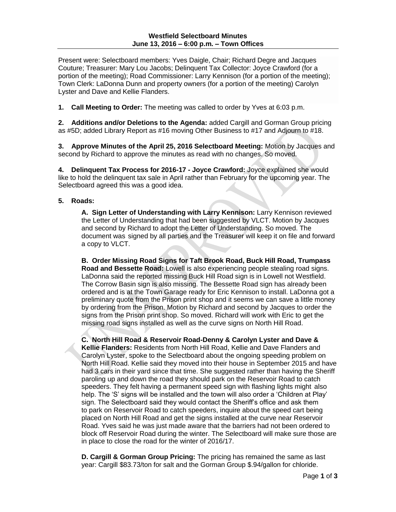Present were: Selectboard members: Yves Daigle, Chair; Richard Degre and Jacques Couture; Treasurer: Mary Lou Jacobs; Delinquent Tax Collector: Joyce Crawford (for a portion of the meeting); Road Commissioner: Larry Kennison (for a portion of the meeting); Town Clerk: LaDonna Dunn and property owners (for a portion of the meeting) Carolyn Lyster and Dave and Kellie Flanders.

**1. Call Meeting to Order:** The meeting was called to order by Yves at 6:03 p.m.

**2. Additions and/or Deletions to the Agenda:** added Cargill and Gorman Group pricing as #5D; added Library Report as #16 moving Other Business to #17 and Adjourn to #18.

**3. Approve Minutes of the April 25, 2016 Selectboard Meeting:** Motion by Jacques and second by Richard to approve the minutes as read with no changes. So moved.

**4. Delinquent Tax Process for 2016-17 - Joyce Crawford:** Joyce explained she would like to hold the delinquent tax sale in April rather than February for the upcoming year. The Selectboard agreed this was a good idea.

## **5. Roads:**

**A. Sign Letter of Understanding with Larry Kennison:** Larry Kennison reviewed the Letter of Understanding that had been suggested by VLCT. Motion by Jacques and second by Richard to adopt the Letter of Understanding. So moved. The document was signed by all parties and the Treasurer will keep it on file and forward a copy to VLCT.

**B. Order Missing Road Signs for Taft Brook Road, Buck Hill Road, Trumpass Road and Bessette Road:** Lowell is also experiencing people stealing road signs. LaDonna said the reported missing Buck Hill Road sign is in Lowell not Westfield. The Corrow Basin sign is also missing. The Bessette Road sign has already been ordered and is at the Town Garage ready for Eric Kennison to install. LaDonna got a preliminary quote from the Prison print shop and it seems we can save a little money by ordering from the Prison. Motion by Richard and second by Jacques to order the signs from the Prison print shop. So moved. Richard will work with Eric to get the missing road signs installed as well as the curve signs on North Hill Road.

**C. North Hill Road & Reservoir Road-Denny & Carolyn Lyster and Dave & Kellie Flanders:** Residents from North Hill Road, Kellie and Dave Flanders and Carolyn Lyster, spoke to the Selectboard about the ongoing speeding problem on North Hill Road. Kellie said they moved into their house in September 2015 and have had 3 cars in their yard since that time. She suggested rather than having the Sheriff paroling up and down the road they should park on the Reservoir Road to catch speeders. They felt having a permanent speed sign with flashing lights might also help. The 'S' signs will be installed and the town will also order a 'Children at Play' sign. The Selectboard said they would contact the Sheriff's office and ask them to park on Reservoir Road to catch speeders, inquire about the speed cart being placed on North Hill Road and get the signs installed at the curve near Reservoir Road. Yves said he was just made aware that the barriers had not been ordered to block off Reservoir Road during the winter. The Selectboard will make sure those are in place to close the road for the winter of 2016/17.

**D. Cargill & Gorman Group Pricing:** The pricing has remained the same as last year: Cargill \$83.73/ton for salt and the Gorman Group \$.94/gallon for chloride.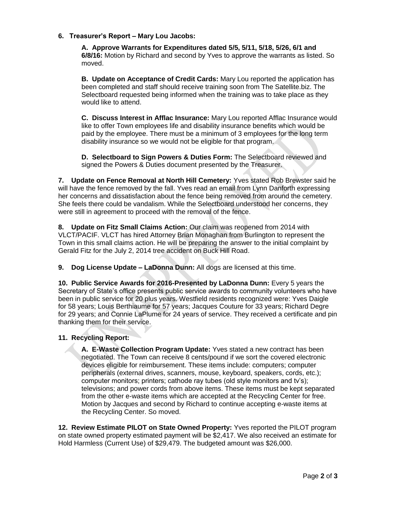## **6. Treasurer's Report – Mary Lou Jacobs:**

**A. Approve Warrants for Expenditures dated 5/5, 5/11, 5/18, 5/26, 6/1 and 6/8/16:** Motion by Richard and second by Yves to approve the warrants as listed. So moved.

**B. Update on Acceptance of Credit Cards:** Mary Lou reported the application has been completed and staff should receive training soon from The Satellite.biz. The Selectboard requested being informed when the training was to take place as they would like to attend.

**C. Discuss Interest in Afflac Insurance:** Mary Lou reported Afflac Insurance would like to offer Town employees life and disability insurance benefits which would be paid by the employee. There must be a minimum of 3 employees for the long term disability insurance so we would not be eligible for that program.

**D. Selectboard to Sign Powers & Duties Form:** The Selectboard reviewed and signed the Powers & Duties document presented by the Treasurer.

**7. Update on Fence Removal at North Hill Cemetery:** Yves stated Rob Brewster said he will have the fence removed by the fall. Yves read an email from Lynn Danforth expressing her concerns and dissatisfaction about the fence being removed from around the cemetery. She feels there could be vandalism. While the Selectboard understood her concerns, they were still in agreement to proceed with the removal of the fence.

**8. Update on Fitz Small Claims Action:** Our claim was reopened from 2014 with VLCT/PACIF. VLCT has hired Attorney Brian Monaghan from Burlington to represent the Town in this small claims action. He will be preparing the answer to the initial complaint by Gerald Fitz for the July 2, 2014 tree accident on Buck Hill Road.

**9. Dog License Update – LaDonna Dunn:** All dogs are licensed at this time.

**10. Public Service Awards for 2016-Presented by LaDonna Dunn:** Every 5 years the Secretary of State's office presents public service awards to community volunteers who have been in public service for 20 plus years. Westfield residents recognized were: Yves Daigle for 58 years; Louis Berthiaume for 57 years; Jacques Couture for 33 years; Richard Degre for 29 years; and Connie LaPlume for 24 years of service. They received a certificate and pin thanking them for their service.

## **11. Recycling Report:**

**A. E-Waste Collection Program Update:** Yves stated a new contract has been negotiated. The Town can receive 8 cents/pound if we sort the covered electronic devices eligible for reimbursement. These items include: computers; computer peripherals (external drives, scanners, mouse, keyboard, speakers, cords, etc.); computer monitors; printers; cathode ray tubes (old style monitors and tv's); televisions; and power cords from above items. These items must be kept separated from the other e-waste items which are accepted at the Recycling Center for free. Motion by Jacques and second by Richard to continue accepting e-waste items at the Recycling Center. So moved.

**12. Review Estimate PILOT on State Owned Property:** Yves reported the PILOT program on state owned property estimated payment will be \$2,417. We also received an estimate for Hold Harmless (Current Use) of \$29,479. The budgeted amount was \$26,000.